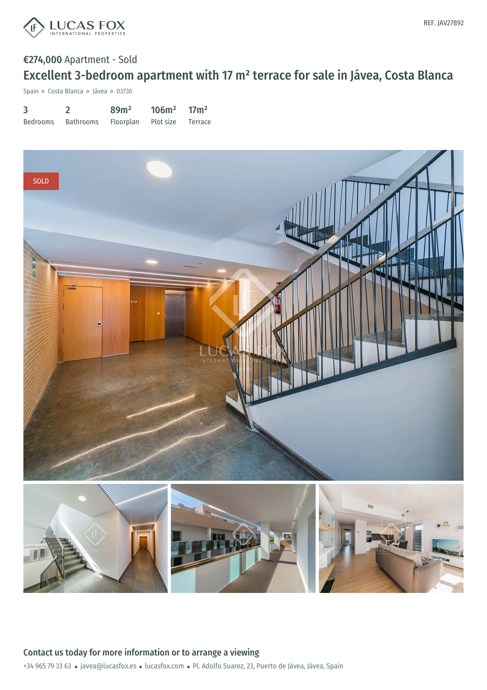

# €274,000 Apartment - Sold Excellent 3-bedroom apartment with 17 m² terrace for sale in Jávea, Costa Blanca

Spain » Costa Blanca » Jávea » 03730

| $\overline{3}$ |                                       | 89 <sup>m²</sup> | $106m^2$ 17m <sup>2</sup> |  |
|----------------|---------------------------------------|------------------|---------------------------|--|
| Bedrooms       | Bathrooms Floorplan Plot size Terrace |                  |                           |  |

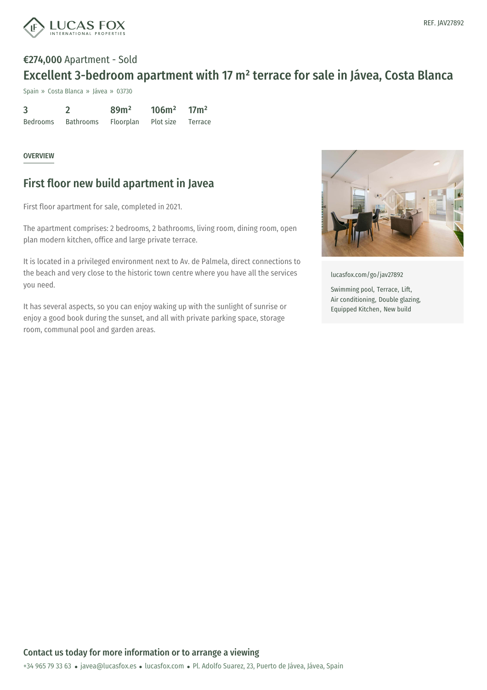

# €274,000 Apartment - Sold Excellent 3-bedroom apartment with 17 m² terrace for sale in Jávea, Costa Blanca

Spain » Costa Blanca » Jávea » 03730

| 3        |           | 89 <sup>m²</sup> | 106m <sup>2</sup> | 17 <sup>2</sup> |
|----------|-----------|------------------|-------------------|-----------------|
| Bedrooms | Bathrooms | Floorplan        | Plot size         | Terrace         |

#### OVERVIEW

### First floor new build apartment in Javea

First floor apartment for sale, completed in 2021.

The apartment comprises: 2 bedrooms, 2 bathrooms, living room, dining room, open plan modern kitchen, office and large private terrace.

It is located in a privileged environment next to Av. de Palmela, direct connections to the beach and very close to the historic town centre where you have all the services you need.

It has several aspects, so you can enjoy waking up with the sunlight of sunrise or enjoy a good book during the sunset, and all with private parking space, storage room, communal pool and garden areas.



[lucasfox.com/go/jav27892](https://www.lucasfox.com/go/jav27892)

Swimming pool, Terrace, Lift, Air conditioning, Double glazing, Equipped Kitchen, New build